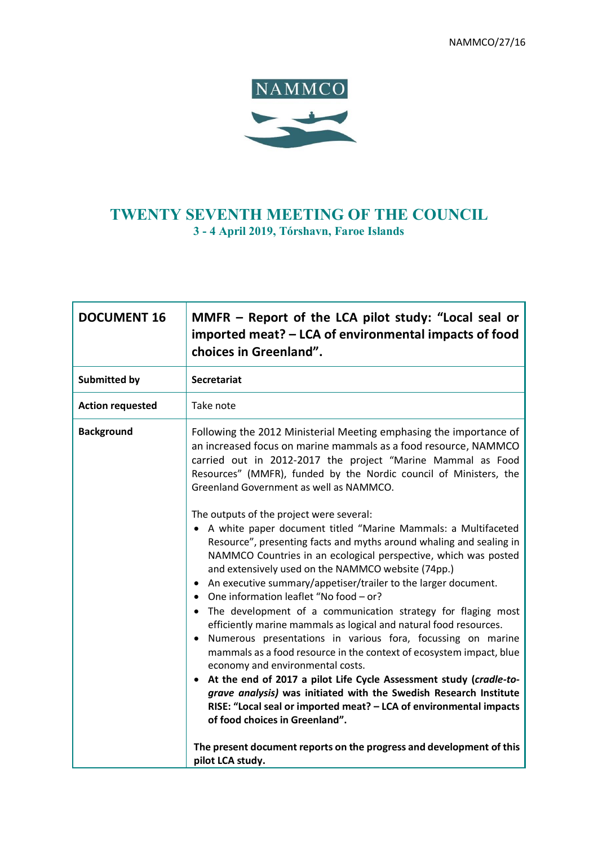

# **TWENTY SEVENTH MEETING OF THE COUNCIL 3 - 4 April 2019, Tórshavn, Faroe Islands**

| <b>DOCUMENT 16</b>      | MMFR – Report of the LCA pilot study: "Local seal or<br>imported meat? – LCA of environmental impacts of food<br>choices in Greenland".                                                                                                                                                                                                                                                                                                                                                                                                                                                                                                                                                                                                                                                                                                                                                                                                                                                                                                                                                                                                                                                                                                                                                                                                                                                                                              |
|-------------------------|--------------------------------------------------------------------------------------------------------------------------------------------------------------------------------------------------------------------------------------------------------------------------------------------------------------------------------------------------------------------------------------------------------------------------------------------------------------------------------------------------------------------------------------------------------------------------------------------------------------------------------------------------------------------------------------------------------------------------------------------------------------------------------------------------------------------------------------------------------------------------------------------------------------------------------------------------------------------------------------------------------------------------------------------------------------------------------------------------------------------------------------------------------------------------------------------------------------------------------------------------------------------------------------------------------------------------------------------------------------------------------------------------------------------------------------|
| <b>Submitted by</b>     | <b>Secretariat</b>                                                                                                                                                                                                                                                                                                                                                                                                                                                                                                                                                                                                                                                                                                                                                                                                                                                                                                                                                                                                                                                                                                                                                                                                                                                                                                                                                                                                                   |
| <b>Action requested</b> | Take note                                                                                                                                                                                                                                                                                                                                                                                                                                                                                                                                                                                                                                                                                                                                                                                                                                                                                                                                                                                                                                                                                                                                                                                                                                                                                                                                                                                                                            |
| <b>Background</b>       | Following the 2012 Ministerial Meeting emphasing the importance of<br>an increased focus on marine mammals as a food resource, NAMMCO<br>carried out in 2012-2017 the project "Marine Mammal as Food<br>Resources" (MMFR), funded by the Nordic council of Ministers, the<br>Greenland Government as well as NAMMCO.<br>The outputs of the project were several:<br>• A white paper document titled "Marine Mammals: a Multifaceted<br>Resource", presenting facts and myths around whaling and sealing in<br>NAMMCO Countries in an ecological perspective, which was posted<br>and extensively used on the NAMMCO website (74pp.)<br>An executive summary/appetiser/trailer to the larger document.<br>$\bullet$<br>One information leaflet "No food - or?<br>$\bullet$<br>• The development of a communication strategy for flaging most<br>efficiently marine mammals as logical and natural food resources.<br>Numerous presentations in various fora, focussing on marine<br>$\bullet$<br>mammals as a food resource in the context of ecosystem impact, blue<br>economy and environmental costs.<br>• At the end of 2017 a pilot Life Cycle Assessment study (cradle-to-<br>grave analysis) was initiated with the Swedish Research Institute<br>RISE: "Local seal or imported meat? - LCA of environmental impacts<br>of food choices in Greenland".<br>The present document reports on the progress and development of this |
|                         | pilot LCA study.                                                                                                                                                                                                                                                                                                                                                                                                                                                                                                                                                                                                                                                                                                                                                                                                                                                                                                                                                                                                                                                                                                                                                                                                                                                                                                                                                                                                                     |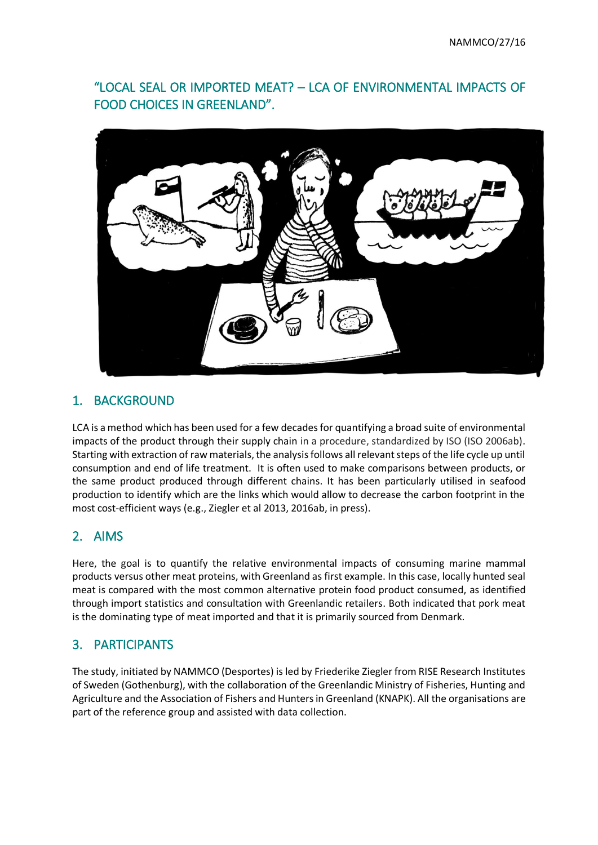# "LOCAL SEAL OR IMPORTED MEAT? – LCA OF ENVIRONMENTAL IMPACTS OF FOOD CHOICES IN GREENLAND".



# 1. BACKGROUND

LCA is a method which has been used for a few decades for quantifying a broad suite of environmental impacts of the product through their supply chain in a procedure, standardized by ISO (ISO 2006ab). Starting with extraction of raw materials, the analysis follows all relevant steps of the life cycle up until consumption and end of life treatment. It is often used to make comparisons between products, or the same product produced through different chains. It has been particularly utilised in seafood production to identify which are the links which would allow to decrease the carbon footprint in the most cost-efficient ways (e.g., Ziegler et al 2013, 2016ab, in press).

#### 2. AIMS

Here, the goal is to quantify the relative environmental impacts of consuming marine mammal products versus other meat proteins, with Greenland as first example. In this case, locally hunted seal meat is compared with the most common alternative protein food product consumed, as identified through import statistics and consultation with Greenlandic retailers. Both indicated that pork meat is the dominating type of meat imported and that it is primarily sourced from Denmark.

## 3. PARTICIPANTS

The study, initiated by NAMMCO (Desportes) is led by Friederike Ziegler from RISE Research Institutes of Sweden (Gothenburg), with the collaboration of the Greenlandic Ministry of Fisheries, Hunting and Agriculture and the Association of Fishers and Hunters in Greenland (KNAPK). All the organisations are part of the reference group and assisted with data collection.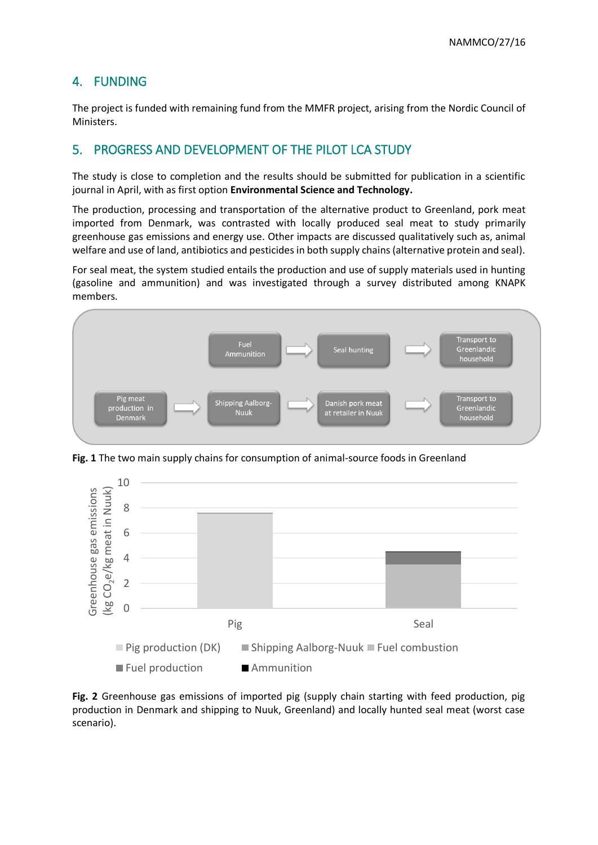## 4. FUNDING

The project is funded with remaining fund from the MMFR project, arising from the Nordic Council of Ministers.

## 5. PROGRESS AND DEVELOPMENT OF THE PILOT LCA STUDY

The study is close to completion and the results should be submitted for publication in a scientific journal in April, with as first option **Environmental Science and Technology.**

The production, processing and transportation of the alternative product to Greenland, pork meat imported from Denmark, was contrasted with locally produced seal meat to study primarily greenhouse gas emissions and energy use. Other impacts are discussed qualitatively such as, animal welfare and use of land, antibiotics and pesticides in both supply chains (alternative protein and seal).

For seal meat, the system studied entails the production and use of supply materials used in hunting (gasoline and ammunition) and was investigated through a survey distributed among KNAPK members.



**Fig. 1** The two main supply chains for consumption of animal-source foods in Greenland



**Fig. 2** Greenhouse gas emissions of imported pig (supply chain starting with feed production, pig production in Denmark and shipping to Nuuk, Greenland) and locally hunted seal meat (worst case scenario).